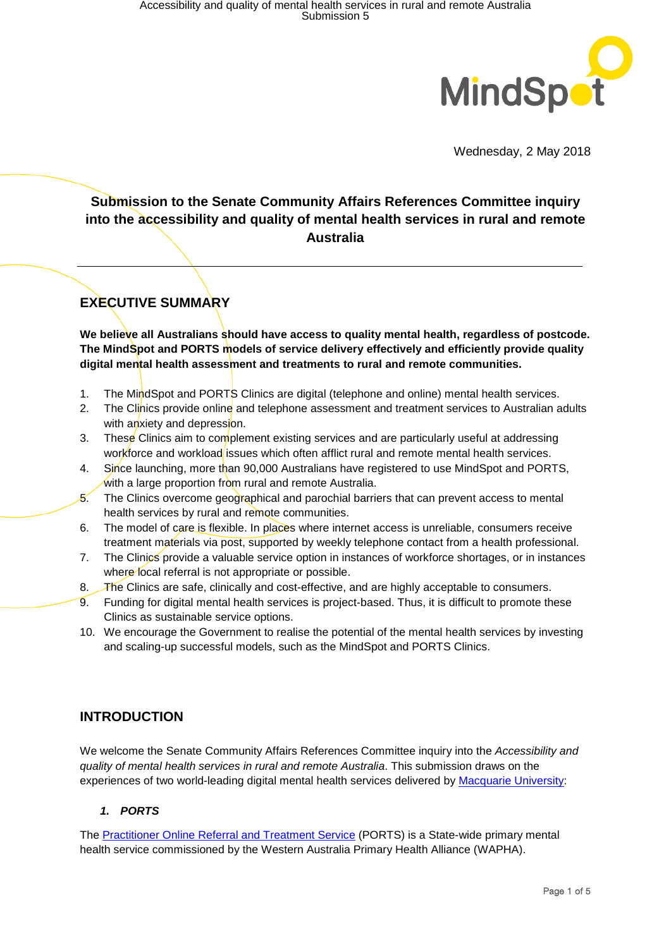

Wednesday, 2 May 2018

# **Submission to the Senate Community Affairs References Committee inquiry into the accessibility and quality of mental health services in rural and remote Australia**

## **EXECUTIVE SUMMARY**

**We believe all Australians should have access to quality mental health, regardless of postcode. The MindSpot and PORTS models of service delivery effectively and efficiently provide quality digital mental health assessment and treatments to rural and remote communities.**

- 1. The MindSpot and PORTS Clinics are digital (telephone and online) mental health services.
- 2. The Clinics provide online and telephone assessment and treatment services to Australian adults with anxiety and depression.
- 3. These Clinics aim to complement existing services and are particularly useful at addressing workforce and workload issues which often afflict rural and remote mental health services.
- 4. Since launching, more than 90,000 Australians have registered to use MindSpot and PORTS. with a large proportion from rural and remote Australia.
- 5. The Clinics overcome geographical and parochial barriers that can prevent access to mental health services by rural and remote communities.
- 6. The model of care is flexible. In places where internet access is unreliable, consumers receive treatment materials via post, supported by weekly telephone contact from a health professional.
- 7. The Clinics provide a valuable service option in instances of workforce shortages, or in instances where local referral is not appropriate or possible.
- 8. The Clinics are safe, clinically and cost-effective, and are highly acceptable to consumers.
- 9. Funding for digital mental health services is project-based. Thus, it is difficult to promote these Clinics as sustainable service options.
- 10. We encourage the Government to realise the potential of the mental health services by investing and scaling-up successful models, such as the MindSpot and PORTS Clinics.

## **INTRODUCTION**

We welcome the Senate Community Affairs References Committee inquiry into the *Accessibility and quality of mental health services in rural and remote Australia*. This submission draws on the experiences of two world-leading digital mental health services delivered by [Macquarie University:](http://www.mq.edu.au/)

## *1. PORTS*

The [Practitioner Online Referral and Treatment Service](http://www.ports.org.au/) (PORTS) is a State-wide primary mental health service commissioned by the [Western Australia Primary Health Alliance \(WAPHA\)](http://www.wapha.org.au/).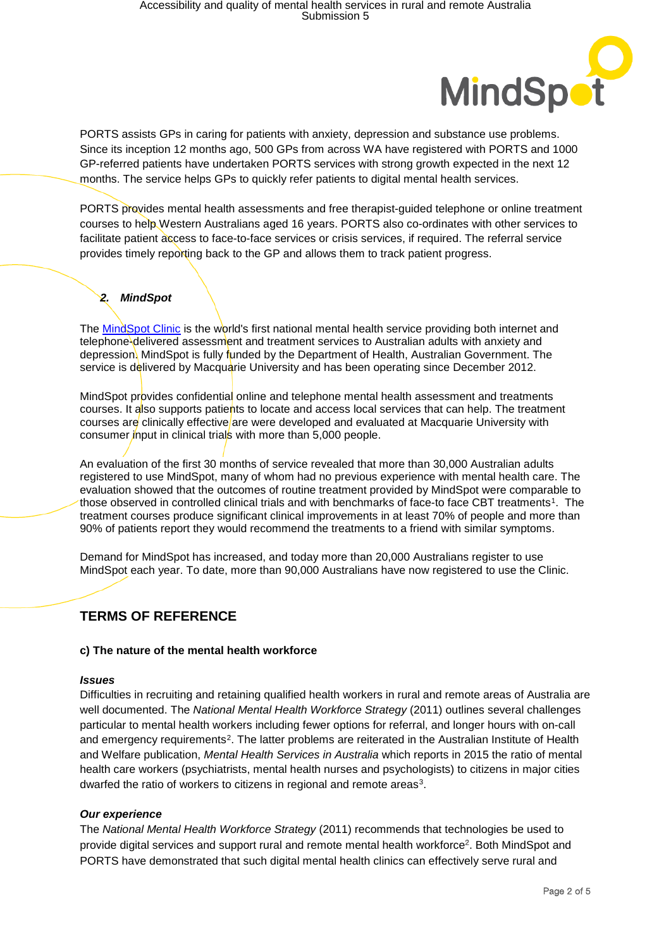

PORTS assists GPs in caring for patients with anxiety, depression and substance use problems. Since its inception 12 months ago, 500 GPs from across WA have registered with PORTS and 1000 GP-referred patients have undertaken PORTS services with strong growth expected in the next 12 months. The service helps GPs to quickly refer patients to digital mental health services.

PORTS provides mental health assessments and free therapist-guided telephone or online treatment courses to help Western Australians aged 16 years. PORTS also co-ordinates with other services to facilitate patient access to face-to-face services or crisis services, if required. The referral service provides timely reporting back to the GP and allows them to track patient progress.

## *2. MindSpot*

The [MindSpot Clinic](http://www.mindspot.org.au/) is the world's first national mental health service providing both internet and telephone-delivered assessment and treatment services to Australian adults with anxiety and depression. MindSpot is fully funded by the Department of Health, Australian Government. The service is delivered by Macquarie University and has been operating since December 2012.

MindSpot provides confidential online and telephone mental health assessment and treatments courses. It also supports patients to locate and access local services that can help. The treatment courses are clinically effective are were developed and evaluated at Macquarie University with consumer input in clinical trials with more than 5,000 people.

<span id="page-1-1"></span>An evaluation of the first 30 months of service revealed that more than 30,000 Australian adults registered to use MindSpot, many of whom had no previous experience with mental health care. The evaluation showed that the outcomes of routine treatment provided by MindSpot were comparable to those observed in controlled clinical trials and with benchmarks of face-to face CBT treatments<sup>1</sup>. The treatment courses produce significant clinical improvements in at least 70% of people and more than 90% of patients report they would recommend the treatments to a friend with similar symptoms.

Demand for MindSpot has increased, and today more than 20,000 Australians register to use MindSpot each year. To date, more than 90,000 Australians have now registered to use the Clinic.

## **TERMS OF REFERENCE**

## **c) The nature of the mental health workforce**

#### *Issues*

<span id="page-1-0"></span>Difficulties in recruiting and retaining qualified health workers in rural and remote areas of Australia are well documented. The *National Mental Health Workforce Strategy* (2011) outlines several challenges particular to mental health workers including fewer options for referral, and longer hours with on-call and emergency requirements<sup>[2](#page-4-1)</sup>. The latter problems are reiterated in the Australian Institute of Health and Welfare publication, *Mental Health Services in Australia* which reports in 2015 the ratio of mental health care workers (psychiatrists, mental health nurses and psychologists) to citizens in major cities dwarfed the ratio of workers to citizens in regional and remote areas<sup>3</sup>.

#### *Our experience*

The *National Mental Health Workforce Strategy* (2011) recommends that technologies be used to provid[e](#page-1-0) digital services and support rural and remote mental health workforce<sup>2</sup>. Both MindSpot and PORTS have demonstrated that such digital mental health clinics can effectively serve rural and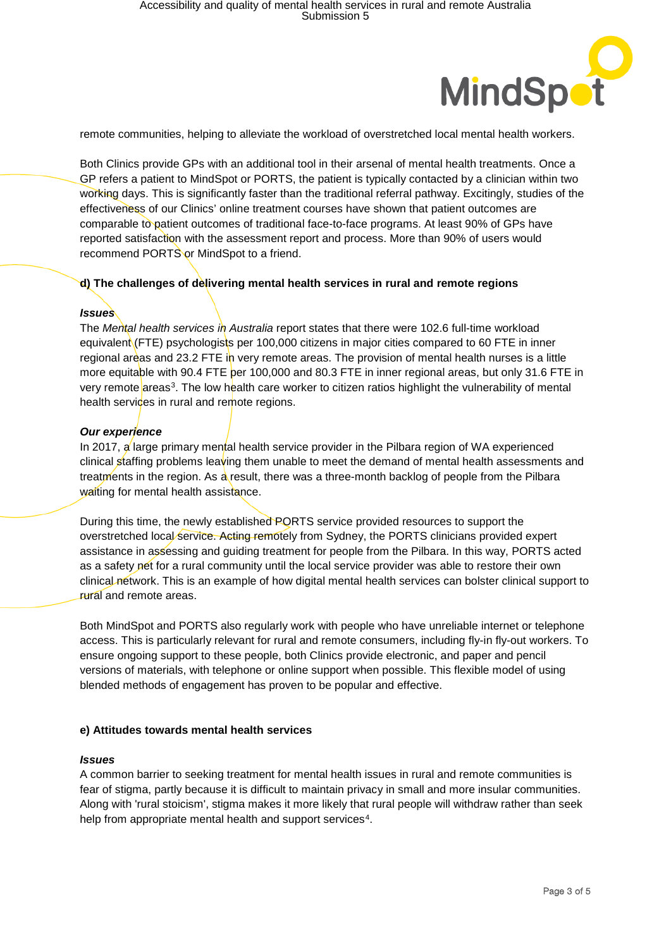

remote communities, helping to alleviate the workload of overstretched local mental health workers.

Both Clinics provide GPs with an additional tool in their arsenal of mental health treatments. Once a GP refers a patient to MindSpot or PORTS, the patient is typically contacted by a clinician within two working days. This is significantly faster than the traditional referral pathway. Excitingly, studies of the effectiveness of our Clinics' online treatment courses have shown that patient outcomes are comparable to patient outcomes of traditional face-to-face programs. At least 90% of GPs have reported satisfaction with the assessment report and process. More than 90% of users would recommend PORTS or MindSpot to a friend.

### **d) The challenges of delivering mental health services in rural and remote regions**

### *Issues*

The *Mental health services in Australia* report states that there were 102.6 full-time workload equivalent (FTE) psychologists per 100,000 citizens in major cities compared to 60 FTE in inner regional areas and 23.2 FTE in very remote areas. The provision of mental health nurses is a little more equitable with 90.4 FTE per 100,000 and 80.3 FTE in inner regional areas, but only 31.6 FTE in very remote areas<sup>3</sup>. The low health care worker to citizen ratios highlight the vulnerability of mental health services in rural and remote regions.

### *Our experience*

In 2017,  $\alpha$  large primary mental health service provider in the Pilbara region of WA experienced clinical staffing problems leaving them unable to meet the demand of mental health assessments and treatments in the region. As a result, there was a three-month backlog of people from the Pilbara waiting for mental health assistance.

During this time, the newly established PORTS service provided resources to support the overstretched local service. Acting remotely from Sydney, the PORTS clinicians provided expert assistance in assessing and guiding treatment for people from the Pilbara. In this way, PORTS acted as a safety net for a rural community until the local service provider was able to restore their own clinical network. This is an example of how digital mental health services can bolster clinical support to rural and remote areas.

Both MindSpot and PORTS also regularly work with people who have unreliable internet or telephone access. This is particularly relevant for rural and remote consumers, including fly-in fly-out workers. To ensure ongoing support to these people, both Clinics provide electronic, and paper and pencil versions of materials, with telephone or online support when possible. This flexible model of using blended methods of engagement has proven to be popular and effective.

#### **e) Attitudes towards mental health services**

#### *Issues*

A common barrier to seeking treatment for mental health issues in rural and remote communities is fear of stigma, partly because it is difficult to maintain privacy in small and more insular communities. Along with 'rural stoicism', stigma makes it more likely that rural people will withdraw rather than seek help from appropriate mental health and support services<sup>4</sup>.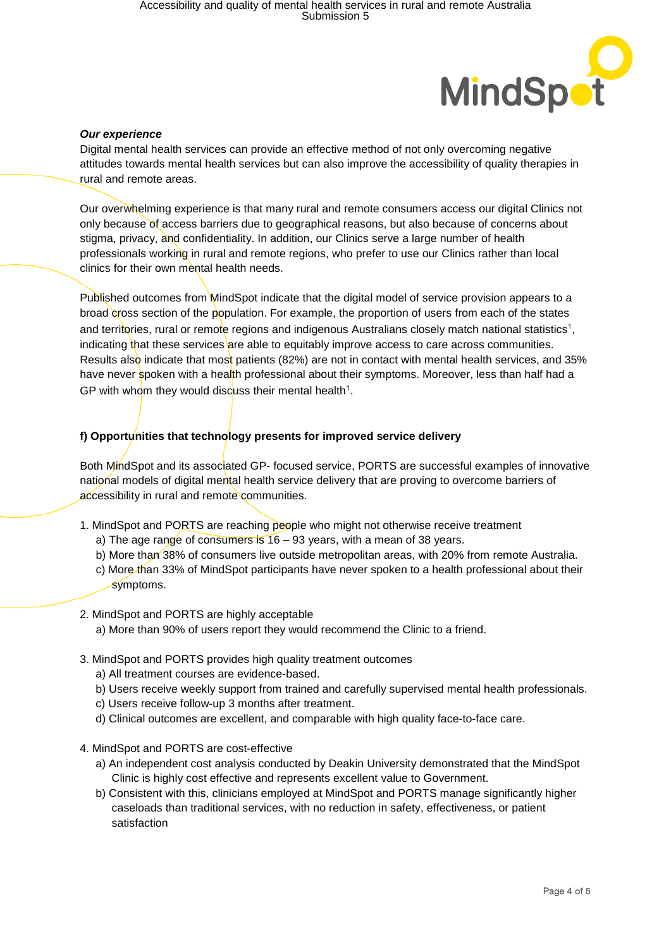

#### *Our experience*

Digital mental health services can provide an effective method of not only overcoming negative attitudes towards mental health services but can also improve the accessibility of quality therapies in rural and remote areas.

Our overwhelming experience is that many rural and remote consumers access our digital Clinics not only because of access barriers due to geographical reasons, but also because of concerns about stigma, privacy, and confidentiality. In addition, our Clinics serve a large number of health professionals working in rural and remote regions, who prefer to use our Clinics rather than local clinics for their own mental health needs.

Published outcomes from MindSpot indicate that the digital model of service provision appears to a broad cross section of the population. For example, the proportion of users from each of the states and territories[,](#page-1-1) rural or remote regions and indigenous Australians closely match national statistics<sup>1</sup>, indicating that these services are able to equitably improve access to care across communities. Results also indicate that most patients (82%) are not in contact with mental health services, and 35% have never spoken with a health professional about their symptoms. Moreover, less than half had a GP with whom they would discuss their mental health<sup>[1](#page-1-1)</sup>.

## f) Opportunities that technology presents for improved service delivery

Both MindSpot and its associated GP- focused service, PORTS are successful examples of innovative national models of digital mental health service delivery that are proving to overcome barriers of accessibility in rural and remote communities.

- 1. MindSpot and PORTS are reaching people who might not otherwise receive treatment
	- a) The age range of consumers is  $16 93$  years, with a mean of 38 years.
	- b) More than 38% of consumers live outside metropolitan areas, with 20% from remote Australia.
	- c) More than 33% of MindSpot participants have never spoken to a health professional about their symptoms.
- 2. MindSpot and PORTS are highly acceptable
	- a) More than 90% of users report they would recommend the Clinic to a friend.
- 3. MindSpot and PORTS provides high quality treatment outcomes
	- a) All treatment courses are evidence-based.
	- b) Users receive weekly support from trained and carefully supervised mental health professionals.
	- c) Users receive follow-up 3 months after treatment.
	- d) Clinical outcomes are excellent, and comparable with high quality face-to-face care.
- 4. MindSpot and PORTS are cost-effective
	- a) An independent cost analysis conducted by Deakin University demonstrated that the MindSpot Clinic is highly cost effective and represents excellent value to Government.
	- b) Consistent with this, clinicians employed at MindSpot and PORTS manage significantly higher caseloads than traditional services, with no reduction in safety, effectiveness, or patient satisfaction